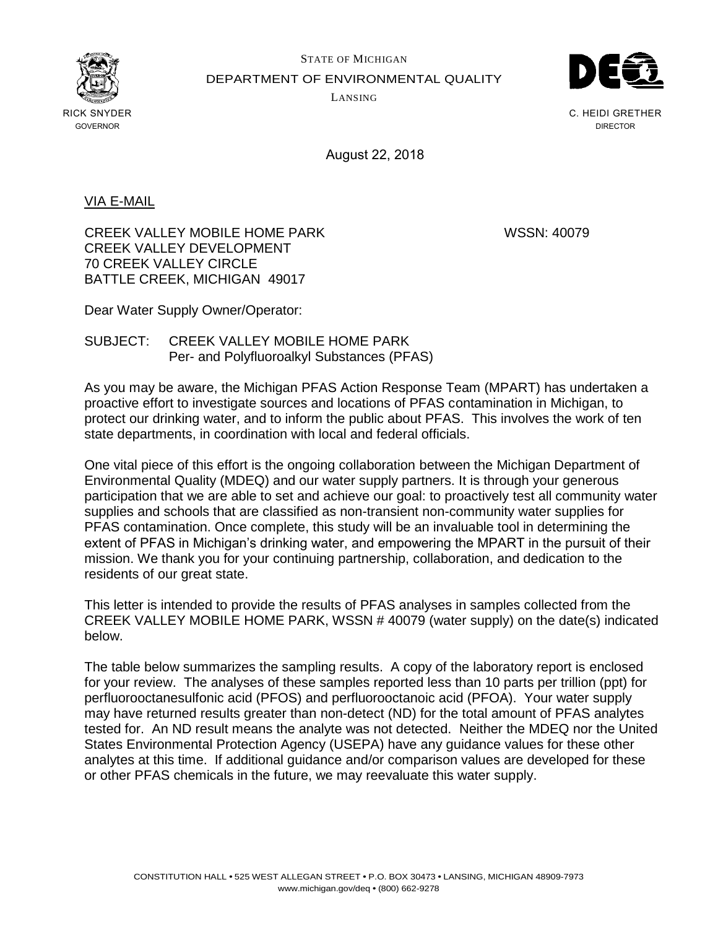

STATE OF MICHIGAN DEPARTMENT OF ENVIRONMENTAL QUALITY LANSING



C. HEIDI GRETHER DIRECTOR

August 22, 2018

## VIA E-MAIL

CREEK VALLEY MOBILE HOME PARK WSSN: 40079 CREEK VALLEY DEVELOPMENT 70 CREEK VALLEY CIRCLE BATTLE CREEK, MICHIGAN 49017

Dear Water Supply Owner/Operator:

## SUBJECT: CREEK VALLEY MOBILE HOME PARK Per- and Polyfluoroalkyl Substances (PFAS)

As you may be aware, the Michigan PFAS Action Response Team (MPART) has undertaken a proactive effort to investigate sources and locations of PFAS contamination in Michigan, to protect our drinking water, and to inform the public about PFAS. This involves the work of ten state departments, in coordination with local and federal officials.

One vital piece of this effort is the ongoing collaboration between the Michigan Department of Environmental Quality (MDEQ) and our water supply partners. It is through your generous participation that we are able to set and achieve our goal: to proactively test all community water supplies and schools that are classified as non-transient non-community water supplies for PFAS contamination. Once complete, this study will be an invaluable tool in determining the extent of PFAS in Michigan's drinking water, and empowering the MPART in the pursuit of their mission. We thank you for your continuing partnership, collaboration, and dedication to the residents of our great state.

This letter is intended to provide the results of PFAS analyses in samples collected from the CREEK VALLEY MOBILE HOME PARK, WSSN # 40079 (water supply) on the date(s) indicated below.

The table below summarizes the sampling results. A copy of the laboratory report is enclosed for your review. The analyses of these samples reported less than 10 parts per trillion (ppt) for perfluorooctanesulfonic acid (PFOS) and perfluorooctanoic acid (PFOA). Your water supply may have returned results greater than non-detect (ND) for the total amount of PFAS analytes tested for. An ND result means the analyte was not detected. Neither the MDEQ nor the United States Environmental Protection Agency (USEPA) have any guidance values for these other analytes at this time. If additional guidance and/or comparison values are developed for these or other PFAS chemicals in the future, we may reevaluate this water supply.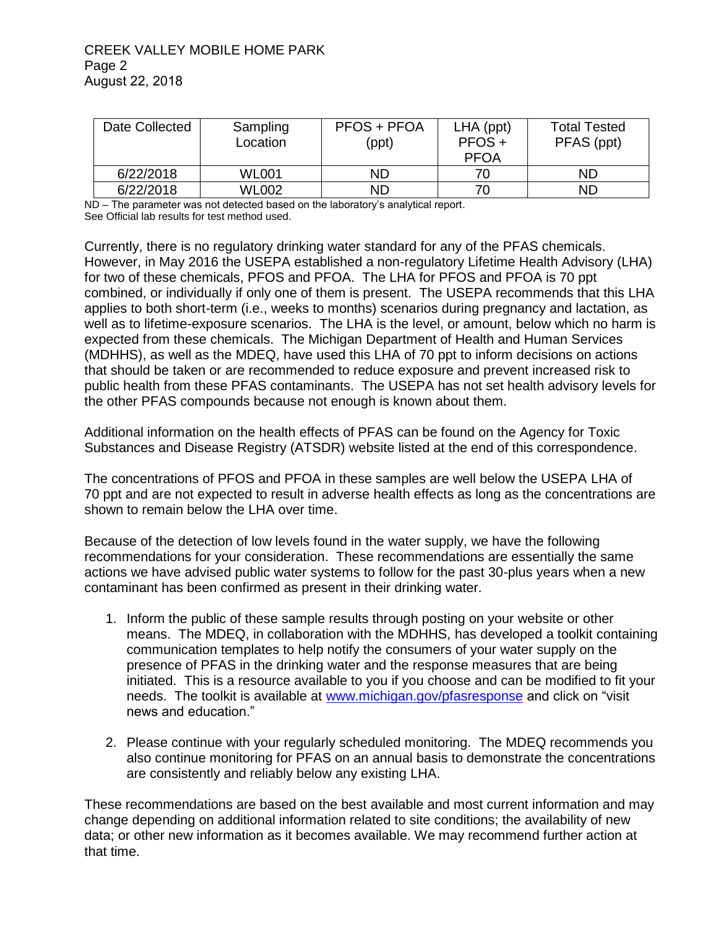## CREEK VALLEY MOBILE HOME PARK Page 2 August 22, 2018

| Date Collected | Sampling<br>Location | <b>PFOS + PFOA</b><br>(ppt) | $LHA$ (ppt)<br>$PFOS +$<br><b>PFOA</b> | <b>Total Tested</b><br>PFAS (ppt) |
|----------------|----------------------|-----------------------------|----------------------------------------|-----------------------------------|
| 6/22/2018      | <b>WL001</b>         | <b>ND</b>                   | 70                                     | ND                                |
| 6/22/2018      | <b>WL002</b>         | ND                          | 70                                     | ND                                |

ND – The parameter was not detected based on the laboratory's analytical report. See Official lab results for test method used.

Currently, there is no regulatory drinking water standard for any of the PFAS chemicals. However, in May 2016 the USEPA established a non-regulatory Lifetime Health Advisory (LHA) for two of these chemicals, PFOS and PFOA. The LHA for PFOS and PFOA is 70 ppt combined, or individually if only one of them is present. The USEPA recommends that this LHA applies to both short-term (i.e., weeks to months) scenarios during pregnancy and lactation, as well as to lifetime-exposure scenarios. The LHA is the level, or amount, below which no harm is expected from these chemicals. The Michigan Department of Health and Human Services (MDHHS), as well as the MDEQ, have used this LHA of 70 ppt to inform decisions on actions that should be taken or are recommended to reduce exposure and prevent increased risk to public health from these PFAS contaminants. The USEPA has not set health advisory levels for the other PFAS compounds because not enough is known about them.

Additional information on the health effects of PFAS can be found on the Agency for Toxic Substances and Disease Registry (ATSDR) website listed at the end of this correspondence.

The concentrations of PFOS and PFOA in these samples are well below the USEPA LHA of 70 ppt and are not expected to result in adverse health effects as long as the concentrations are shown to remain below the LHA over time.

Because of the detection of low levels found in the water supply, we have the following recommendations for your consideration. These recommendations are essentially the same actions we have advised public water systems to follow for the past 30-plus years when a new contaminant has been confirmed as present in their drinking water.

- 1. Inform the public of these sample results through posting on your website or other means. The MDEQ, in collaboration with the MDHHS, has developed a toolkit containing communication templates to help notify the consumers of your water supply on the presence of PFAS in the drinking water and the response measures that are being initiated. This is a resource available to you if you choose and can be modified to fit your needs. The toolkit is available at [www.michigan.gov/pfasresponse](http://www.michigan.gov/pfasresponse) and click on "visit news and education."
- 2. Please continue with your regularly scheduled monitoring. The MDEQ recommends you also continue monitoring for PFAS on an annual basis to demonstrate the concentrations are consistently and reliably below any existing LHA.

These recommendations are based on the best available and most current information and may change depending on additional information related to site conditions; the availability of new data; or other new information as it becomes available. We may recommend further action at that time.